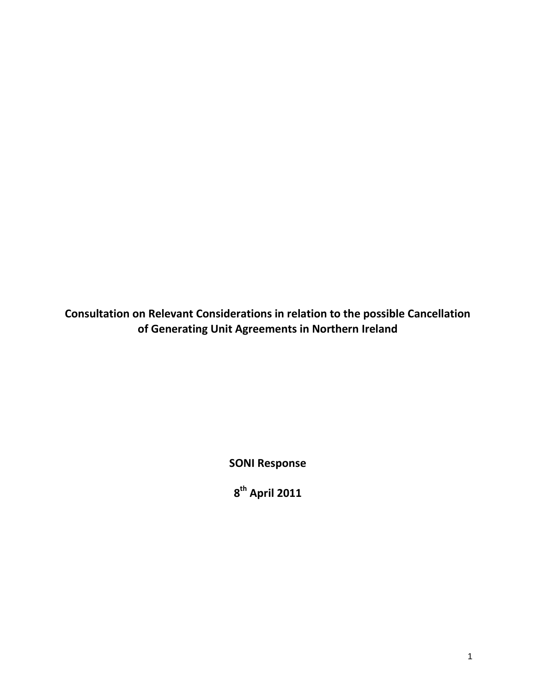**Consultation on Relevant Considerations in relation to the possible Cancellation of Generating Unit Agreements in Northern Ireland**

**SONI Response**

**8 th April 2011**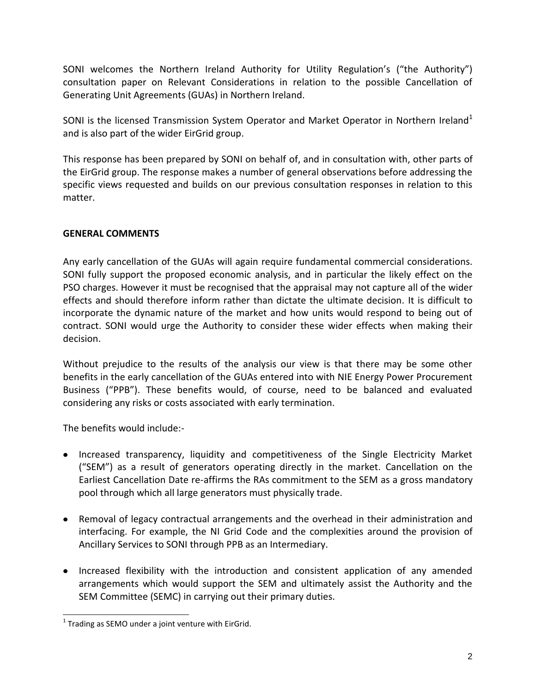SONI welcomes the Northern Ireland Authority for Utility Regulation's ("the Authority") consultation paper on Relevant Considerations in relation to the possible Cancellation of Generating Unit Agreements (GUAs) in Northern Ireland.

SONI is the licensed Transmission System Operator and Market Operator in Northern Ireland<sup>1</sup> and is also part of the wider EirGrid group.

This response has been prepared by SONI on behalf of, and in consultation with, other parts of the EirGrid group. The response makes a number of general observations before addressing the specific views requested and builds on our previous consultation responses in relation to this matter.

# **GENERAL COMMENTS**

Any early cancellation of the GUAs will again require fundamental commercial considerations. SONI fully support the proposed economic analysis, and in particular the likely effect on the PSO charges. However it must be recognised that the appraisal may not capture all of the wider effects and should therefore inform rather than dictate the ultimate decision. It is difficult to incorporate the dynamic nature of the market and how units would respond to being out of contract. SONI would urge the Authority to consider these wider effects when making their decision.

Without prejudice to the results of the analysis our view is that there may be some other benefits in the early cancellation of the GUAs entered into with NIE Energy Power Procurement Business ("PPB"). These benefits would, of course, need to be balanced and evaluated considering any risks or costs associated with early termination.

The benefits would include:-

- Increased transparency, liquidity and competitiveness of the Single Electricity Market ("SEM") as a result of generators operating directly in the market. Cancellation on the Earliest Cancellation Date re-affirms the RAs commitment to the SEM as a gross mandatory pool through which all large generators must physically trade.
- Removal of legacy contractual arrangements and the overhead in their administration and interfacing. For example, the NI Grid Code and the complexities around the provision of Ancillary Services to SONI through PPB as an Intermediary.
- Increased flexibility with the introduction and consistent application of any amended arrangements which would support the SEM and ultimately assist the Authority and the SEM Committee (SEMC) in carrying out their primary duties.

l  $1$  Trading as SEMO under a joint venture with EirGrid.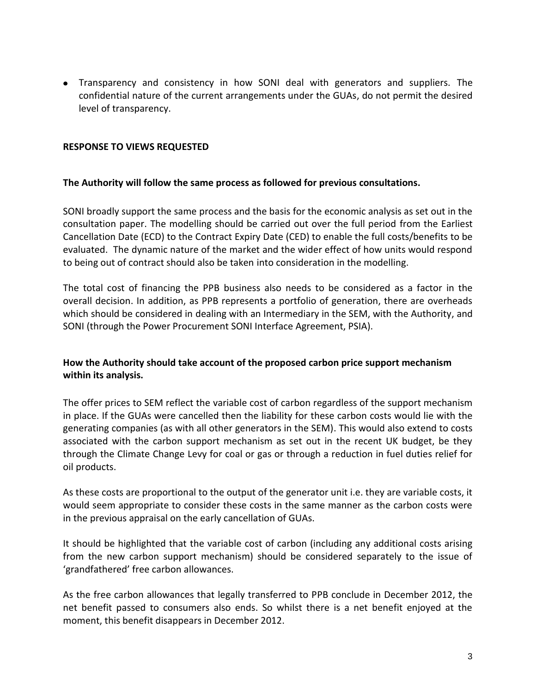Transparency and consistency in how SONI deal with generators and suppliers. The confidential nature of the current arrangements under the GUAs, do not permit the desired level of transparency.

## **RESPONSE TO VIEWS REQUESTED**

### **The Authority will follow the same process as followed for previous consultations.**

SONI broadly support the same process and the basis for the economic analysis as set out in the consultation paper. The modelling should be carried out over the full period from the Earliest Cancellation Date (ECD) to the Contract Expiry Date (CED) to enable the full costs/benefits to be evaluated. The dynamic nature of the market and the wider effect of how units would respond to being out of contract should also be taken into consideration in the modelling.

The total cost of financing the PPB business also needs to be considered as a factor in the overall decision. In addition, as PPB represents a portfolio of generation, there are overheads which should be considered in dealing with an Intermediary in the SEM, with the Authority, and SONI (through the Power Procurement SONI Interface Agreement, PSIA).

# **How the Authority should take account of the proposed carbon price support mechanism within its analysis.**

The offer prices to SEM reflect the variable cost of carbon regardless of the support mechanism in place. If the GUAs were cancelled then the liability for these carbon costs would lie with the generating companies (as with all other generators in the SEM). This would also extend to costs associated with the carbon support mechanism as set out in the recent UK budget, be they through the Climate Change Levy for coal or gas or through a reduction in fuel duties relief for oil products.

As these costs are proportional to the output of the generator unit i.e. they are variable costs, it would seem appropriate to consider these costs in the same manner as the carbon costs were in the previous appraisal on the early cancellation of GUAs.

It should be highlighted that the variable cost of carbon (including any additional costs arising from the new carbon support mechanism) should be considered separately to the issue of 'grandfathered' free carbon allowances.

As the free carbon allowances that legally transferred to PPB conclude in December 2012, the net benefit passed to consumers also ends. So whilst there is a net benefit enjoyed at the moment, this benefit disappears in December 2012.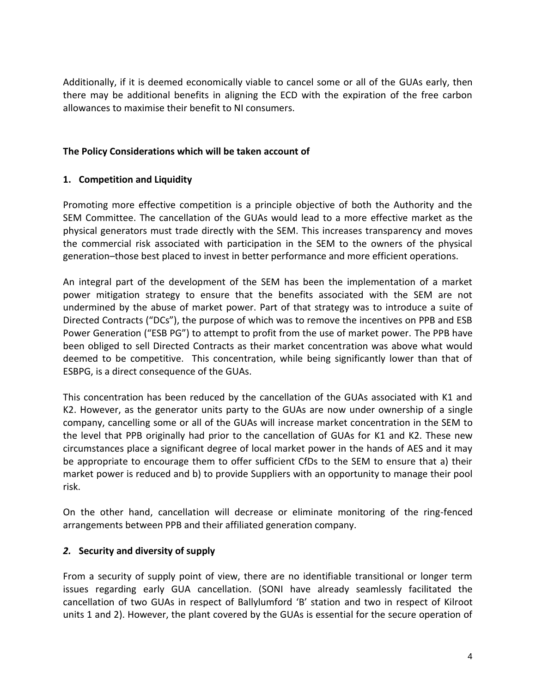Additionally, if it is deemed economically viable to cancel some or all of the GUAs early, then there may be additional benefits in aligning the ECD with the expiration of the free carbon allowances to maximise their benefit to NI consumers.

## **The Policy Considerations which will be taken account of**

# **1. Competition and Liquidity**

Promoting more effective competition is a principle objective of both the Authority and the SEM Committee. The cancellation of the GUAs would lead to a more effective market as the physical generators must trade directly with the SEM. This increases transparency and moves the commercial risk associated with participation in the SEM to the owners of the physical generation–those best placed to invest in better performance and more efficient operations.

An integral part of the development of the SEM has been the implementation of a market power mitigation strategy to ensure that the benefits associated with the SEM are not undermined by the abuse of market power. Part of that strategy was to introduce a suite of Directed Contracts ("DCs"), the purpose of which was to remove the incentives on PPB and ESB Power Generation ("ESB PG") to attempt to profit from the use of market power. The PPB have been obliged to sell Directed Contracts as their market concentration was above what would deemed to be competitive. This concentration, while being significantly lower than that of ESBPG, is a direct consequence of the GUAs.

This concentration has been reduced by the cancellation of the GUAs associated with K1 and K2. However, as the generator units party to the GUAs are now under ownership of a single company, cancelling some or all of the GUAs will increase market concentration in the SEM to the level that PPB originally had prior to the cancellation of GUAs for K1 and K2. These new circumstances place a significant degree of local market power in the hands of AES and it may be appropriate to encourage them to offer sufficient CfDs to the SEM to ensure that a) their market power is reduced and b) to provide Suppliers with an opportunity to manage their pool risk.

On the other hand, cancellation will decrease or eliminate monitoring of the ring-fenced arrangements between PPB and their affiliated generation company.

# *2.* **Security and diversity of supply**

From a security of supply point of view, there are no identifiable transitional or longer term issues regarding early GUA cancellation. (SONI have already seamlessly facilitated the cancellation of two GUAs in respect of Ballylumford 'B' station and two in respect of Kilroot units 1 and 2). However, the plant covered by the GUAs is essential for the secure operation of